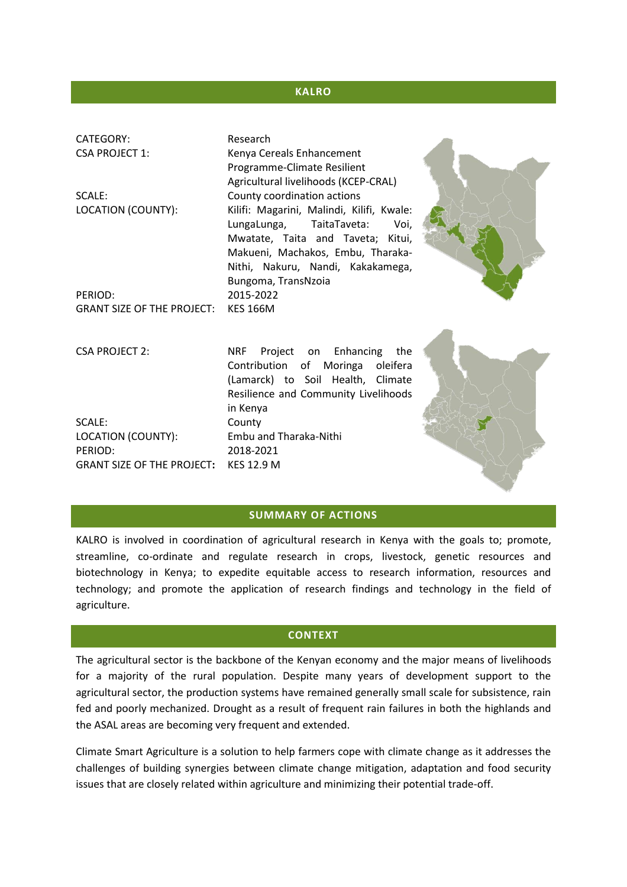#### **KALRO**

| CATEGORY:<br><b>CSA PROJECT 1:</b>           | Research<br>Kenya Cereals Enhancement<br>Programme-Climate Resilient<br>Agricultural livelihoods (KCEP-CRAL)                                                                                                                                          |  |
|----------------------------------------------|-------------------------------------------------------------------------------------------------------------------------------------------------------------------------------------------------------------------------------------------------------|--|
| SCALE:<br>LOCATION (COUNTY):                 | County coordination actions<br>Kilifi: Magarini, Malindi, Kilifi, Kwale:<br>LungaLunga,<br>TaitaTaveta:<br>Voi,<br>Mwatate, Taita and Taveta; Kitui,<br>Makueni, Machakos, Embu, Tharaka-<br>Nithi, Nakuru, Nandi, Kakakamega,<br>Bungoma, TransNzoia |  |
| PERIOD:                                      | 2015-2022                                                                                                                                                                                                                                             |  |
| <b>GRANT SIZE OF THE PROJECT:</b>            | <b>KES 166M</b>                                                                                                                                                                                                                                       |  |
| <b>CSA PROJECT 2:</b>                        | <b>NRF</b><br>Project on Enhancing<br>the<br>Contribution of Moringa oleifera<br>(Lamarck) to Soil Health, Climate<br>Resilience and Community Livelihoods                                                                                            |  |
|                                              | in Kenya                                                                                                                                                                                                                                              |  |
| SCALE:                                       | County                                                                                                                                                                                                                                                |  |
| LOCATION (COUNTY):                           | Embu and Tharaka-Nithi                                                                                                                                                                                                                                |  |
| PERIOD:<br><b>GRANT SIZE OF THE PROJECT:</b> | 2018-2021<br><b>KES 12.9 M</b>                                                                                                                                                                                                                        |  |
|                                              |                                                                                                                                                                                                                                                       |  |

#### **SUMMARY OF ACTIONS**

KALRO is involved in coordination of agricultural research in Kenya with the goals to; promote, streamline, co-ordinate and regulate research in crops, livestock, genetic resources and biotechnology in Kenya; to expedite equitable access to research information, resources and technology; and promote the application of research findings and technology in the field of agriculture.

#### **CONTEXT**

The agricultural sector is the backbone of the Kenyan economy and the major means of livelihoods for a majority of the rural population. Despite many years of development support to the agricultural sector, the production systems have remained generally small scale for subsistence, rain fed and poorly mechanized. Drought as a result of frequent rain failures in both the highlands and the ASAL areas are becoming very frequent and extended.

Climate Smart Agriculture is a solution to help farmers cope with climate change as it addresses the challenges of building synergies between climate change mitigation, adaptation and food security issues that are closely related within agriculture and minimizing their potential trade-off.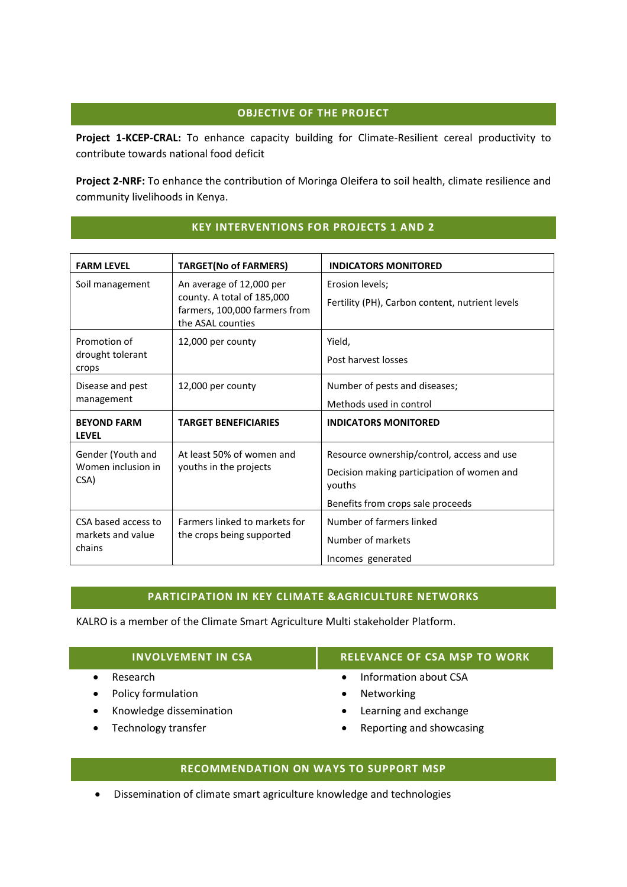# **OBJECTIVE OF THE PROJECT**

**Project 1-KCEP-CRAL:** To enhance capacity building for Climate-Resilient cereal productivity to contribute towards national food deficit

**Project 2-NRF:** To enhance the contribution of Moringa Oleifera to soil health, climate resilience and community livelihoods in Kenya.

| <b>FARM LEVEL</b>                                  | <b>TARGET(No of FARMERS)</b>                                                                                 | <b>INDICATORS MONITORED</b>                                                                                                             |  |
|----------------------------------------------------|--------------------------------------------------------------------------------------------------------------|-----------------------------------------------------------------------------------------------------------------------------------------|--|
| Soil management                                    | An average of 12,000 per<br>county. A total of 185,000<br>farmers, 100,000 farmers from<br>the ASAL counties | Erosion levels;<br>Fertility (PH), Carbon content, nutrient levels                                                                      |  |
| Promotion of<br>drought tolerant<br>crops          | 12,000 per county                                                                                            | Yield,<br>Post harvest losses                                                                                                           |  |
| Disease and pest<br>management                     | 12,000 per county                                                                                            | Number of pests and diseases;<br>Methods used in control                                                                                |  |
| <b>BEYOND FARM</b><br><b>LEVEL</b>                 | <b>TARGET BENEFICIARIES</b>                                                                                  | <b>INDICATORS MONITORED</b>                                                                                                             |  |
| Gender (Youth and<br>Women inclusion in<br>CSA)    | At least 50% of women and<br>youths in the projects                                                          | Resource ownership/control, access and use<br>Decision making participation of women and<br>youths<br>Benefits from crops sale proceeds |  |
| CSA based access to<br>markets and value<br>chains | Farmers linked to markets for<br>the crops being supported                                                   | Number of farmers linked<br>Number of markets<br>Incomes generated                                                                      |  |

# **KEY INTERVENTIONS FOR PROJECTS 1 AND 2**

### **PARTICIPATION IN KEY CLIMATE &AGRICULTURE NETWORKS**

KALRO is a member of the Climate Smart Agriculture Multi stakeholder Platform.

| <b>INVOLVEMENT IN CSA</b> | <b>RELEVANCE OF CSA MSP TO WORK</b> |
|---------------------------|-------------------------------------|
| Research                  | Information about CSA               |
| Policy formulation        | Networking                          |
| Knowledge dissemination   | Learning and exchange               |
| Technology transfer       | Reporting and showcasing            |

# **RECOMMENDATION ON WAYS TO SUPPORT MSP**

Dissemination of climate smart agriculture knowledge and technologies